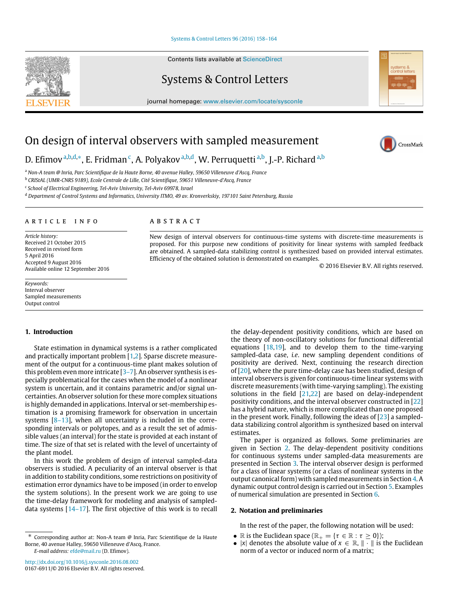## [Systems & Control Letters 96 \(2016\) 158–164](http://dx.doi.org/10.1016/j.sysconle.2016.08.002)

Contents lists available at [ScienceDirect](http://www.elsevier.com/locate/sysconle)

Systems & Control Letters

journal homepage: [www.elsevier.com/locate/sysconle](http://www.elsevier.com/locate/sysconle)

# On design of interval observers with sampled measurement

D. Efimov <sup>[a,](#page-0-0)[b](#page-0-1)[,d,](#page-0-2)</sup>\*, E. Fridman <sup>[c](#page-0-4)</sup>, A. Polyakov <sup>a,b[,d](#page-0-2)</sup>, W. Perruquetti <sup>a,b</sup>, J.-P. Richard <sup>a,b</sup>

<span id="page-0-0"></span><sup>a</sup> *Non-A team @ Inria, Parc Scientifique de la Haute Borne, 40 avenue Halley, 59650 Villeneuve d'Ascq, France*

<span id="page-0-1"></span><sup>b</sup> *CRIStAL (UMR-CNRS 9189), Ecole Centrale de Lille, Cité Scientifique, 59651 Villeneuve-d'Ascq, France*

<span id="page-0-4"></span><sup>c</sup> School of Electrical Engineering, Tel-Aviv University, Tel-Aviv 69978, Israel

<span id="page-0-2"></span><sup>d</sup> *Department of Control Systems and Informatics, University ITMO, 49 av. Kronverkskiy, 197101 Saint Petersburg, Russia*

## a r t i c l e i n f o

*Article history:* Received 21 October 2015 Received in revised form 5 April 2016 Accepted 9 August 2016 Available online 12 September 2016

*Keywords:* Interval observer Sampled measurements Output control

## **1. Introduction**

State estimation in dynamical systems is a rather complicated and practically important problem [\[1](#page-6-0)[,2\]](#page-6-1). Sparse discrete measurement of the output for a continuous-time plant makes solution of this problem even more intricate [\[3–7\]](#page-6-2). An observer synthesis is especially problematical for the cases when the model of a nonlinear system is uncertain, and it contains parametric and/or signal uncertainties. An observer solution for these more complex situations is highly demanded in applications. Interval or set-membership estimation is a promising framework for observation in uncertain systems [\[8–13\]](#page-6-3), when all uncertainty is included in the corresponding intervals or polytopes, and as a result the set of admissible values (an interval) for the state is provided at each instant of time. The size of that set is related with the level of uncertainty of the plant model.

In this work the problem of design of interval sampled-data observers is studied. A peculiarity of an interval observer is that in addition to stability conditions, some restrictions on positivity of estimation error dynamics have to be imposed (in order to envelop the system solutions). In the present work we are going to use the time-delay framework for modeling and analysis of sampleddata systems [\[14–17\]](#page-6-4). The first objective of this work is to recall

# A B S T R A C T

New design of interval observers for continuous-time systems with discrete-time measurements is proposed. For this purpose new conditions of positivity for linear systems with sampled feedback are obtained. A sampled-data stabilizing control is synthesized based on provided interval estimates. Efficiency of the obtained solution is demonstrated on examples.

© 2016 Elsevier B.V. All rights reserved.

the delay-dependent positivity conditions, which are based on the theory of non-oscillatory solutions for functional differential equations  $[18,19]$  $[18,19]$ , and to develop them to the time-varying sampled-data case, *i.e*. new sampling dependent conditions of positivity are derived. Next, continuing the research direction of [\[20\]](#page-6-7), where the pure time-delay case has been studied, design of interval observers is given for continuous-time linear systems with discrete measurements (with time-varying sampling). The existing solutions in the field  $[21,22]$  $[21,22]$  are based on delay-independent positivity conditions, and the interval observer constructed in [\[22\]](#page-6-9) has a hybrid nature, which is more complicated than one proposed in the present work. Finally, following the ideas of  $[23]$  a sampleddata stabilizing control algorithm is synthesized based on interval estimates.

The paper is organized as follows. Some preliminaries are given in Section [2.](#page-0-5) The delay-dependent positivity conditions for continuous systems under sampled-data measurements are presented in Section [3.](#page-1-0) The interval observer design is performed for a class of linear systems (or a class of nonlinear systems in the output canonical form) with sampled measurements in Section [4.](#page-2-0) A dynamic output control design is carried out in Section [5.](#page-4-0) Examples of numerical simulation are presented in Section [6.](#page-5-0)

## <span id="page-0-5"></span>**2. Notation and preliminaries**

In the rest of the paper, the following notation will be used:

- R is the Euclidean space  $(\mathbb{R}_+ = {\tau \in \mathbb{R} : \tau > 0})$ ;
- |*x*| denotes the absolute value of  $x \in \mathbb{R}$ ,  $\|\cdot\|$  is the Euclidean norm of a vector or induced norm of a matrix;





CrossMark

<span id="page-0-3"></span><sup>∗</sup> Corresponding author at: Non-A team @ Inria, Parc Scientifique de la Haute Borne, 40 avenue Halley, 59650 Villeneuve d'Ascq, France. *E-mail address:* [efde@mail.ru](mailto:efde@mail.ru) (D. Efimov).

<http://dx.doi.org/10.1016/j.sysconle.2016.08.002> 0167-6911/© 2016 Elsevier B.V. All rights reserved.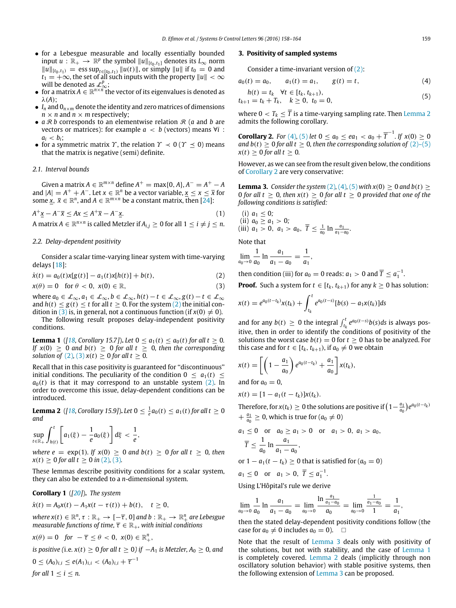- for a Lebesgue measurable and locally essentially bounded input  $u : \mathbb{R}_+ \to \mathbb{R}^p$  the symbol  $||u||_{[t_0,t_1]}$  denotes its  $L_\infty$  norm  $||u||_{[t_0,t_1)}$  = ess sup<sub>*t*∈[*t*<sub>0</sub>,*t*<sub>1</sub></sub>)  $||u(t)||$ , or simply  $||u||$  if *t*<sub>0</sub> = 0 and  $t_1 = +\infty$ , the set of all such inputs with the property  $||u|| < \infty$ will be denoted as  $\mathcal{L}_{\infty}^p$ ;<br>
■ for a matrix *A* ∈  $\mathbb{R}^{n \times n}$  the vector of its eigenvalues is denoted as
- λ(*A*);
- $I_n$  and  $O_{n \times m}$  denote the identity and zero matrices of dimensions  $n \times n$  and  $n \times m$  respectively;
- $a \mathcal{R} b$  corresponds to an elementwise relation  $\mathcal{R}$  (*a* and *b* are vectors or matrices): for example  $a < b$  (vectors) means  $\forall i$  :  $a_i < b_i$ ;
- for a symmetric matrix  $\gamma$ , the relation  $\gamma \prec 0$  ( $\gamma \prec 0$ ) means that the matrix is negative (semi) definite.

## *2.1. Interval bounds*

 $G$ iven a matrix  $A \in \mathbb{R}^{m \times n}$  define  $A^+ = \max\{0, A\}$ ,  $A^- = A^+ - A$ and  $|A| = A^+ + A^-$ . Let  $x \in \mathbb{R}^n$  be a vector variable,  $x \le x \le \bar{x}$  for some  $\underline{x}$ ,  $\overline{x} \in \mathbb{R}^n$ , and  $A \in \mathbb{R}^{m \times n}$  be a constant matrix, then [\[24\]](#page-6-11):

 $A^{+}x - A^{-}\overline{x} \leq Ax \leq A^{+}\overline{x} - A^{-}$ *x*. (1) A matrix  $A \in \mathbb{R}^{n \times n}$  is called Metzler if  $A_{i,j} \geq 0$  for all  $1 \leq i \neq j \leq n$ .

## *2.2. Delay-dependent positivity*

Consider a scalar time-varying linear system with time-varying delays [\[18\]](#page-6-5):

$$
\dot{x}(t) = a_0(t)x[g(t)] - a_1(t)x[h(t)] + b(t),
$$
\n(2)

$$
x(\theta) = 0 \quad \text{for } \theta < 0, \ x(0) \in \mathbb{R}, \tag{3}
$$

where  $a_0 \in \mathcal{L}_{\infty}, a_1 \in \mathcal{L}_{\infty}, b \in \mathcal{L}_{\infty}, h(t) - t \in \mathcal{L}_{\infty}, g(t) - t \in \mathcal{L}_{\infty}$ and  $h(t) \leq g(t) \leq t$  for all  $t \geq 0$ . For the system [\(2\)](#page-1-1) the initial con-dition in [\(3\)](#page-1-2) is, in general, not a continuous function (if  $x(0) \neq 0$ ).

The following result proposes delay-independent positivity conditions.

<span id="page-1-8"></span>**Lemma 1** (*[\[18,](#page-6-5) Corollary 15.7]*). *Let*  $0 \le a_1(t) \le a_0(t)$  *for all*  $t \ge 0$ *. If*  $x(0) \ge 0$  *and*  $b(t) \ge 0$  *for all*  $t \ge 0$ *, then the corresponding solution of* [\(2\)](#page-1-1), [\(3\)](#page-1-2)  $x(t) \ge 0$  *for all t*  $\ge 0$ *.* 

Recall that in this case positivity is guaranteed for ''discontinuous'' initial conditions. The peculiarity of the condition  $0 < a_1(t) <$  $a<sub>0</sub>(t)$  is that it may correspond to an unstable system [\(2\).](#page-1-1) In order to overcome this issue, delay-dependent conditions can be introduced.

<span id="page-1-3"></span>**Lemma 2** ([\[18,](#page-6-5) Corollary 15.9]). Let  $0 \le \frac{1}{e} a_0(t) \le a_1(t)$  for all  $t \ge 0$ *and*

$$
\sup_{t\in\mathbb{R}_+}\int_{h(t)}^t\left[a_1(\xi)-\frac{1}{e}a_0(\xi)\right]d\xi<\frac{1}{e},
$$

*where e* = exp(1)*.* If  $x(0) \ge 0$  *and*  $b(t) \ge 0$  *for all*  $t \ge 0$ *, then*  $x(t) \ge 0$  *for all t*  $\ge 0$  *in* [\(2\)](#page-1-1), [\(3\)](#page-1-2)*.* 

These lemmas describe positivity conditions for a scalar system, they can also be extended to a *n*-dimensional system.

# **Corollary 1** (*[\[20\]](#page-6-7)*)**.** *The system*

*for all*  $1 < i < n$ .

$$
\dot{x}(t) = A_0 x(t) - A_1 x(t - \tau(t)) + b(t), \quad t \ge 0,
$$

 $where x(t) \in \mathbb{R}^n$ ,  $\tau : \mathbb{R}_+ \to [-\overline{\tau}, 0]$  and  $b : \mathbb{R}_+ \to \mathbb{R}_+^n$  are Lebesgue *measurable functions of time,*  $\overline{\tau} \in \mathbb{R}_+$ *, with initial conditions* 

$$
x(\theta) = 0 \quad \text{for } -\overline{\tau} \leq \theta < 0, \ x(0) \in \mathbb{R}^n_+,
$$

*is positive (i.e.*  $x(t) \ge 0$  *for all t*  $\ge 0$ *) if*  $-A_1$  *is Metzler,*  $A_0 \ge 0$ *, and*  $0 \le (A_0)_{i,i} \le e(A_1)_{i,i} < (A_0)_{i,i} + \overline{\tau}^{-1}$ 

## <span id="page-1-0"></span>**3. Positivity of sampled systems**

<span id="page-1-5"></span><span id="page-1-4"></span>Consider a time-invariant version of [\(2\):](#page-1-1)

$$
a_0(t) = a_0, \qquad a_1(t) = a_1, \qquad g(t) = t,\tag{4}
$$

$$
h(t) = t_k \quad \forall t \in [t_k, t_{k+1}),
$$
  
\n
$$
t_{k+1} = t_k + T_k, \quad k \ge 0, \quad t_0 = 0,
$$
\n(5)

where  $0 < T_k \leq \overline{T}$  is a time-varying sampling rate. Then [Lemma 2](#page-1-3) admits the following corollary.

<span id="page-1-6"></span>**Corollary 2.** *For* [\(4\)](#page-1-4), [\(5\)](#page-1-5) *let*  $0 \le a_0 \le ea_1 < a_0 + \overline{T}^{-1}$ *. If*  $x(0) \ge 0$ *and b*(*t*)  $\geq$  0 *for all t*  $\geq$  0*, then the corresponding solution of* [\(2\)–\(5\)](#page-1-1)  $x(t) > 0$  *for all t*  $> 0$ *.* 

However, as we can see from the result given below, the conditions of [Corollary 2](#page-1-6) are very conservative:

<span id="page-1-7"></span>**Lemma 3.** *Consider the system* [\(2\)](#page-1-1)*,* [\(4\)](#page-1-4)*,* [\(5\)](#page-1-5) *with*  $x(0) > 0$  *and*  $b(t) > 0$ 0 for all  $t \geq 0$ , then  $x(t) \geq 0$  for all  $t \geq 0$  provided that one of the *following conditions is satisfied:*

(i)  $a_1 \leq 0$ ; (ii)  $a_0 \ge a_1 > 0$ ; (iii)  $a_1 > 0$ ,  $a_1 > a_0$ ,  $\overline{T} \leq \frac{1}{a_0} \ln \frac{a_1}{a_1 - a_0}$ .

Note that

$$
\lim_{a_0 \to 0} \frac{1}{a_0} \ln \frac{a_1}{a_1 - a_0} = \frac{1}{a_1},
$$

<span id="page-1-1"></span>then condition (iii) for  $a_0 = 0$  reads:  $a_1 > 0$  and  $\overline{T} \le a_1^{-1}$ .

<span id="page-1-2"></span>**Proof.** Such a system for  $t \in [t_k, t_{k+1})$  for any  $k \ge 0$  has solution:

$$
x(t) = e^{a_0(t-t_k)}x(t_k) + \int_{t_k}^t e^{a_0(t-s)}[b(s) - a_1x(t_k)]ds
$$

and for any  $b(t) \geq 0$  the integral  $\int_{t_k}^t e^{a_0(t-s)} b(s) ds$  is always positive, then in order to identify the conditions of positivity of the solutions the worst case  $b(t) = 0$  for  $t \ge 0$  has to be analyzed. For this case and for  $t \in [t_k, t_{k+1})$ , if  $a_0 \neq 0$  we obtain

$$
x(t) = \left[ \left( 1 - \frac{a_1}{a_0} \right) e^{a_0(t - t_k)} + \frac{a_1}{a_0} \right] x(t_k),
$$

and for  $a_0 = 0$ ,

$$
x(t) = [1 - a_1(t - t_k)]x(t_k).
$$

Therefore, for  $x(t_k) \geq 0$  the solutions are positive if  $\left(1 - \frac{a_1}{a_0}\right) e^{a_0(t-t_k)}$  $+\frac{a_1}{a_0}\geq 0$ , which is true for  $(a_0\neq 0)$ 

$$
a_1 \le 0 \quad \text{or} \quad a_0 \ge a_1 > 0 \quad \text{or} \quad a_1 > 0, \ a_1 > a_0,
$$
  

$$
\overline{T} \le \frac{1}{a_0} \ln \frac{a_1}{a_1 - a_0},
$$
  
or 
$$
1 - a_1(t - t_k) \ge 0 \text{ that is satisfied for } (a_0 = 0)
$$

 $a_1 \le 0$  or  $a_1 > 0$ ,  $\overline{T} \le a_1^{-1}$ .

Using L'Hôpital's rule we derive

$$
\lim_{a_0 \to 0} \frac{1}{a_0} \ln \frac{a_1}{a_1 - a_0} = \lim_{a_0 \to 0} \frac{\ln \frac{a_1}{a_1 - a_0}}{a_0} = \lim_{a_0 \to 0} \frac{\frac{1}{a_1 - a_0}}{1} = \frac{1}{a_1},
$$

then the stated delay-dependent positivity conditions follow (the case for  $a_0 \neq 0$  includes  $a_0 = 0$ ).  $\Box$ 

Note that the result of [Lemma 3](#page-1-7) deals only with positivity of the solutions, but not with stability, and the case of [Lemma 1](#page-1-8) is completely covered. [Lemma 2](#page-1-3) deals (implicitly through non oscillatory solution behavior) with stable positive systems, then the following extension of [Lemma 3](#page-1-7) can be proposed.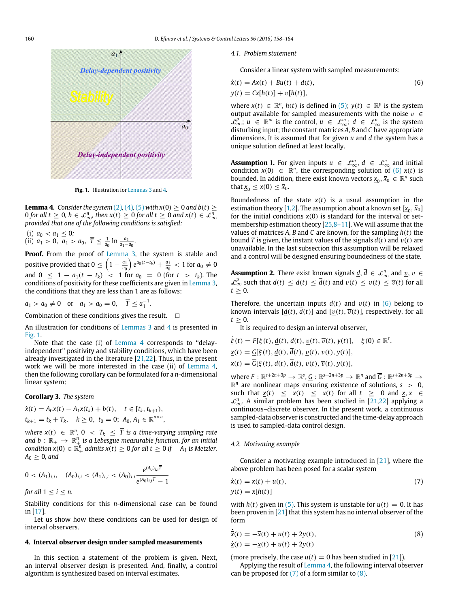<span id="page-2-2"></span>

<span id="page-2-1"></span>**Fig. 1.** Illustration for [Lemmas 3](#page-1-7) and [4.](#page-2-1)

**Lemma 4.** *Consider the system* [\(2\)](#page-1-1)*,* [\(4\)](#page-1-4)*,* [\(5\)](#page-1-5) *with*  $x(0) \ge 0$  *and*  $b(t) \ge 0$ 0 for all  $t \ge 0$ ,  $b \in \mathcal{L}_{\infty}^n$ , then  $x(t) \ge 0$  for all  $t \ge 0$  and  $x(t) \in \mathcal{L}_{\infty}^n$ *provided that one of the following conditions is satisfied:*

(i)  $a_0 < a_1 \leq 0$ ; (ii)  $a_1 > 0$ ,  $a_1 > a_0$ ,  $\overline{T} \leq \frac{1}{a_0} \ln \frac{a_1}{a_1 - a_0}$ .

**Proof.** From the proof of [Lemma 3,](#page-1-7) the system is stable and positive provided that  $0 \leq \left(1 - \frac{a_1}{a_0}\right)e^{a_0(t-t_k)} + \frac{a_1}{a_0} < 1$  for  $a_0 \neq 0$ and  $0 \leq 1 - a_1(t - t_k) < 1$  for  $a_0 = 0$  (for  $t > t_k$ ). The conditions of positivity for these coefficients are given in [Lemma 3,](#page-1-7) the conditions that they are less than 1 are as follows:

$$
a_1 > a_0 \neq 0
$$
 or  $a_1 > a_0 = 0$ ,  $\overline{T} \leq a_1^{-1}$ .

Combination of these conditions gives the result.  $\square$ 

An illustration for conditions of [Lemmas 3](#page-1-7) and [4](#page-2-1) is presented in [Fig. 1.](#page-2-2)

Note that the case (i) of [Lemma 4](#page-2-1) corresponds to ''delayindependent'' positivity and stability conditions, which have been already investigated in the literature [\[21](#page-6-8)[,22\]](#page-6-9). Thus, in the present work we will be more interested in the case (ii) of [Lemma 4,](#page-2-1) then the following corollary can be formulated for a *n*-dimensional linear system:

#### <span id="page-2-8"></span>**Corollary 3.** *The system*

$$
\dot{x}(t) = A_0 x(t) - A_1 x(t_k) + b(t), \quad t \in [t_k, t_{k+1}),
$$
  

$$
t_{k+1} = t_k + T_k, \quad k \ge 0, \quad t_0 = 0; \quad A_0, A_1 \in \mathbb{R}^{n \times n},
$$

 $\mathsf{where} \; \mathsf{x}(t) \; \in \; \mathbb{R}^n, \; 0 \; < \; T_k \; \leq \; \overline{T} \; \; \text{is a time-varying sampling rate}$ and  $b\,:\,\mathbb{R}_{+}\,\rightarrow\,\mathbb{R}_{+}^{n}$  is a Lebesgue measurable function, for an initial *condition*  $x$ (0) ∈  $\mathbb{R}^n_+$  *admits*  $x$ (*t*) ≥ 0 *for all t* ≥ 0 *if* −*A*<sub>1</sub> *is Metzler*,  $A_0 \geq 0$ , and

$$
0 < (A_1)_{i,i}, \quad (A_0)_{i,i} < (A_1)_{i,i} < (A_0)_{i,i} \frac{e^{(A_0)_{i,i}T}}{e^{(A_0)_{i,i}T}-1}
$$

*for all*  $1 \leq i \leq n$ *.* 

Stability conditions for this *n*-dimensional case can be found in [\[17\]](#page-6-12).

Let us show how these conditions can be used for design of interval observers.

# <span id="page-2-0"></span>**4. Interval observer design under sampled measurements**

In this section a statement of the problem is given. Next, an interval observer design is presented. And, finally, a control algorithm is synthesized based on interval estimates.

#### *4.1. Problem statement*

<span id="page-2-3"></span>Consider a linear system with sampled measurements:

$$
\dot{x}(t) = Ax(t) + Bu(t) + d(t),
$$
  
\n
$$
y(t) = Cx[h(t)] + v[h(t)],
$$
\n(6)

where  $x(t) \in \mathbb{R}^n$ ,  $h(t)$  is defined in [\(5\);](#page-1-5)  $y(t) \in \mathbb{R}^p$  is the system output available for sampled measurements with the noise  $v \in$  $\mathcal{L}_{\infty}^p$ ;  $u \in \mathbb{R}^m$  is the control,  $u \in \mathcal{L}_{\infty}^m$ ;  $d \in \mathcal{L}_{\infty}^n$  is the system disturbing input; the constant matrices *A*, *B* and *C* have appropriate dimensions. It is assumed that for given *u* and *d* the system has a unique solution defined at least locally.

<span id="page-2-6"></span>**Assumption 1.** For given inputs  $u \in \mathcal{L}_{\infty}^m$ ,  $d \in \mathcal{L}_{\infty}^n$  and initial condition  $x(0) \in \mathbb{R}^n$ , the corresponding solution of [\(6\)](#page-2-3)  $x(t)$  is bounded. In addition, there exist known vectors  $\underline{x}_0, \overline{x}_0 \in \mathbb{R}^n$  such that  $x_0 \leq x(0) \leq \overline{x}_0$ .

Boundedness of the state  $x(t)$  is a usual assumption in the estimation theory [\[1](#page-6-0)[,2\]](#page-6-1). The assumption about a known set  $[\underline{x}_0, \overline{x}_0]$ for the initial conditions  $x(0)$  is standard for the interval or setmembership estimation theory [\[25,](#page-6-13)[8–11\]](#page-6-3). We will assume that the values of matrices *A*, *B* and *C* are known, for the sampling *h*(*t*) the bound *T* is given, the instant values of the signals  $d(t)$  and  $v(t)$  are unavailable. In the last subsection this assumption will be relaxed and a control will be designed ensuring boundedness of the state.

<span id="page-2-7"></span>**Assumption 2.** There exist known signals  $\underline{d}$ ,  $\overline{d} \in \mathcal{L}_{\infty}^{n}$  and  $\underline{v}$ ,  $\overline{v} \in$  $\mathcal{L}_{\infty}^{p}$  such that  $\underline{d}(t) \leq \overline{d}(t) \leq \overline{d}(t)$  and  $\underline{v}(t) \leq v(t) \leq \overline{v}(t)$  for all  $t > 0$ .

Therefore, the uncertain inputs  $d(t)$  and  $v(t)$  in [\(6\)](#page-2-3) belong to known intervals  $[d(t), d(t)]$  and  $[v(t), \overline{v}(t)]$ , respectively, for all  $t > 0$ .

It is required to design an interval observer,

$$
\dot{\xi}(t) = F[\xi(t), \underline{d}(t), \overline{d}(t), \underline{v}(t), \overline{v}(t), y(t)], \quad \xi(0) \in \mathbb{R}^s,
$$
  
\n
$$
\underline{x}(t) = \underline{G}[\xi(t), \underline{d}(t), \overline{d}(t), \underline{v}(t), \overline{v}(t), y(t)],
$$
  
\n
$$
\overline{x}(t) = \overline{G}[\xi(t), \underline{d}(t), \overline{d}(t), \underline{v}(t), \overline{v}(t), y(t)],
$$

where  $F: \mathbb{R}^{s+2n+3p} \to \mathbb{R}^s$ ,  $G: \mathbb{R}^{s+2n+3p} \to \mathbb{R}^n$  and  $\overline{G}: \mathbb{R}^{s+2n+3p} \to$  $\mathbb{R}^n$  are nonlinear maps ensuring existence of solutions,  $s > 0$ , such that  $\frac{x(t)}{\leq x(t)} \leq \frac{\overline{x}(t)}{\leq \overline{x}(t)}$  for all  $t \geq 0$  and  $\frac{x}{\leq x} \leq$  $\mathcal{L}_{\infty}^{n}$ . A similar problem has been studied in [\[21](#page-6-8)[,22\]](#page-6-9) applying a continuous–discrete observer. In the present work, a continuous sampled-data observer is constructed and the time-delay approach is used to sampled-data control design.

## *4.2. Motivating example*

Consider a motivating example introduced in [\[21\]](#page-6-8), where the above problem has been posed for a scalar system

<span id="page-2-4"></span>
$$
\dot{x}(t) = x(t) + u(t),
$$
  
\n
$$
y(t) = x[h(t)]
$$
\n(7)

with  $h(t)$  given in [\(5\).](#page-1-5) This system is unstable for  $u(t) = 0$ . It has been proven in  $[21]$  that this system has no interval observer of the form

<span id="page-2-5"></span>
$$
\dot{\overline{x}}(t) = -\overline{x}(t) + u(t) + 2y(t),
$$
  
\n
$$
\dot{x}(t) = -x(t) + u(t) + 2y(t)
$$
\n(8)

(more precisely, the case  $u(t) = 0$  has been studied in [\[21\]](#page-6-8)).

Applying the result of [Lemma 4,](#page-2-1) the following interval observer can be proposed for  $(7)$  of a form similar to  $(8)$ .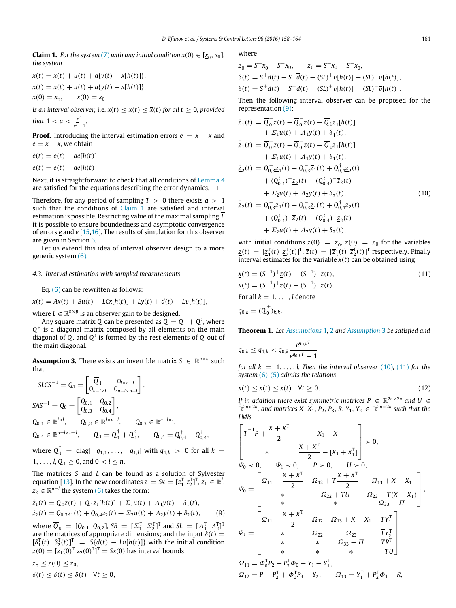<span id="page-3-0"></span>**Claim 1.** For the system [\(7\)](#page-2-4) with any initial condition  $x(0) \in [\underline{x}_0, \overline{x}_0]$ , *the system*

$$
\dot{\underline{x}}(t) = \underline{x}(t) + u(t) + a\{y(t) - \underline{x}[h(t)]\},
$$
  
\n
$$
\dot{\overline{x}}(t) = \overline{x}(t) + u(t) + a\{y(t) - \overline{x}[h(t)]\},
$$
  
\n
$$
\underline{x}(0) = \underline{x}_0, \qquad \overline{x}(0) = \overline{x}_0
$$

*is an interval observer, i.e.*  $x(t) \leq x(t) \leq \overline{x}(t)$  *for all*  $t \geq 0$ *, provided that* 1 <  $a < \frac{e^T}{\sqrt{T}}$  $\frac{e^z}{e^{\overline{T}}-1}$ .

**Proof.** Introducing the interval estimation errors  $e = x - x$  and  $\overline{e} = \overline{x} - x$ , we obtain

 $\dot{e}(t) = e(t) - ae[h(t)],$  $\dot{\overline{e}}(t) = \overline{e}(t) - a\overline{e}[h(t)].$ 

Next, it is straightforward to check that all conditions of [Lemma 4](#page-2-1) are satisfied for the equations describing the error dynamics.  $\square$ 

Therefore, for any period of sampling  $\overline{T} > 0$  there exists  $a > 1$ such that the conditions of [Claim 1](#page-3-0) are satisfied and interval estimation is possible. Restricting value of the maximal sampling *T* it is possible to ensure boundedness and asymptotic convergence of errors *e* and *e* [\[15](#page-6-14)[,16\]](#page-6-15). The results of simulation for this observer are given in Section [6.](#page-5-0)

Let us extend this idea of interval observer design to a more generic system [\(6\).](#page-2-3)

## *4.3. Interval estimation with sampled measurements*

Eq. [\(6\)](#page-2-3) can be rewritten as follows:

 $\dot{x}(t) = Ax(t) + Bu(t) - LCx[h(t)] + Ly(t) + d(t) - Lv[h(t)],$ 

where  $L \in \mathbb{R}^{n \times p}$  is an observer gain to be designed.

Any square matrix Q can be presented as  $\bar{Q} = Q^{\dagger} + Q^{\lambda}$ , where  $Q^{\dagger}$  is a diagonal matrix composed by all elements on the main diagonal of *Q*, and *Q* ≀ is formed by the rest elements of *Q* out of the main diagonal.

<span id="page-3-2"></span>**Assumption 3.** There exists an invertible matrix *S* ∈  $\mathbb{R}^{n \times n}$  such that

$$
-S LCS^{-1} = Q_1 = \begin{bmatrix} \overline{Q}_1 & 0_{l \times n-l} \\ 0_{n-l \times l} & 0_{n-l \times n-l} \end{bmatrix},
$$
  
\n
$$
SAS^{-1} = Q_0 = \begin{bmatrix} Q_{0,1} & Q_{0,2} \\ Q_{0,3} & Q_{0,4} \end{bmatrix},
$$
  
\n
$$
Q_{0,1} \in \mathbb{R}^{l \times l}, \qquad Q_{0,2} \in \mathbb{R}^{l \times n-l}, \qquad Q_{0,3} \in \mathbb{R}^{n-l \times l},
$$
  
\n
$$
Q_{0,4} \in \mathbb{R}^{n-l \times n-l}, \qquad \overline{Q}_1 = \overline{Q}_1^{\dagger} + \overline{Q}_1^{\dagger}, \qquad Q_{0,4} = Q_{0,4}^{\dagger} + Q_{0,4}^{\dagger},
$$

where  $\overline{Q}_1^{\dagger}$  = diag[ $-q_{1,1},\ldots,-q_{1,l}]$  with  $q_{1,k}$  > 0 for all  $k$  =  $1, \ldots, l, \overline{Q}_1^l \ge 0$ , and  $0 < l \le n$ .

The matrices *S* and *L* can be found as a solution of Sylvester equation [\[13\]](#page-6-16). In the new coordinates  $z = Sx = [z_1^T \ z_2^T]^T$ ,  $z_1 \in \mathbb{R}^l$ ,  $z_2 \in \mathbb{R}^{n-l}$  the system [\(6\)](#page-2-3) takes the form:

$$
\dot{z}_1(t) = \overline{Q}_0 z(t) + \overline{Q}_1 z_1[h(t)] + \Sigma_1 u(t) + \Lambda_1 y(t) + \delta_1(t),
$$
  
\n
$$
\dot{z}_2(t) = Q_{0,3} z_1(t) + Q_{0,4} z_2(t) + \Sigma_2 u(t) + \Lambda_2 y(t) + \delta_2(t),
$$
\n(9)

where  $\overline{Q}_0 = [Q_{0,1} \ Q_{0,2}]$ ,  $SB = [\Sigma_1^T \ \Sigma_2^T]^T$  and  $SL = [\Lambda_1^T \ \Lambda_2^T]^T$ are the matrices of appropriate dimensions; and the input  $\delta(t)$  =  $[\delta_1^T(t) \quad \delta_2^T(t)]^T = S\{d(t) - Lv[h(t)]\}$  with the initial condition  $z(0) = [z_1(0)^T z_2(0)^T]^T = Sx(0)$  has interval bounds

 $z_0 \leq z(0) \leq \overline{z}_0$  $\delta(t) \leq \delta(t) \leq \overline{\delta}(t) \quad \forall t \geq 0,$  where

$$
Z_0 = S^+ \underline{x}_0 - S^- \overline{x}_0, \qquad \overline{z}_0 = S^+ \overline{x}_0 - S^- \underline{x}_0,
$$
  
\n
$$
\underline{\delta}(t) = S^+ \underline{d}(t) - S^- \overline{d}(t) - (SL)^+ \overline{v}[h(t)] + (SL)^- \underline{v}[h(t)],
$$
  
\n
$$
\overline{\delta}(t) = S^+ \overline{d}(t) - S^- \underline{d}(t) - (SL)^+ \underline{v}[h(t)] + (SL)^- \overline{v}[h(t)].
$$

Then the following interval observer can be proposed for the representation [\(9\):](#page-3-1)

$$
\begin{split}\n\dot{z}_{1}(t) &= \overline{Q}_{0}^{+} \underline{z}(t) - \overline{Q}_{0} \,\overline{z}(t) + \overline{Q}_{1} \underline{z}_{1}[h(t)] \\
&+ \Sigma_{1} u(t) + \Lambda_{1} y(t) + \underline{\delta}_{1}(t), \\
\dot{\overline{z}}_{1}(t) &= \overline{Q}_{0}^{+} \overline{z}(t) - \overline{Q}_{0} \,\underline{z}(t) + \overline{Q}_{1} \overline{z}_{1}[h(t)] \\
&+ \Sigma_{1} u(t) + \Lambda_{1} y(t) + \overline{\delta}_{1}(t), \\
\dot{z}_{2}(t) &= Q_{0,3}^{+} \underline{z}_{1}(t) - Q_{0,3}^{-} \overline{z}_{1}(t) + Q_{0,4}^{+} \underline{z}_{2}(t) \\
&+ (Q_{0,4}^{+})^{+} \underline{z}_{2}(t) - (Q_{0,4}^{+})^{-} \overline{z}_{2}(t) \\
&+ \Sigma_{2} u(t) + \Lambda_{2} y(t) + \underline{\delta}_{2}(t), \\
\dot{\overline{z}}_{2}(t) &= Q_{0,3}^{+} \overline{z}_{1}(t) - Q_{0,3}^{-} \underline{z}_{1}(t) + Q_{0,4}^{+} \overline{z}_{2}(t) \\
&+ (Q_{0,4}^{+})^{+} \overline{z}_{2}(t) - (Q_{0,4}^{+})^{-} \underline{z}_{2}(t) \\
&+ \Sigma_{2} u(t) + \Lambda_{2} y(t) + \overline{\delta}_{2}(t),\n\end{split}
$$
\n(10)

<span id="page-3-3"></span>with initial conditions  $\underline{z}(0) = \underline{z}_0$ ,  $\overline{z}(0) = \overline{z}_0$  for the variables  $\underline{z}(t) = [\underline{z}_1^T(t) \ \underline{z}_2^T(t)]^T$ ,  $\overline{z}(t) = [\overline{z}_1^T(t) \ \overline{z}_2^T(t)]^T$  respectively. Finally interval estimates for the variable  $x(t)$  can be obtained using

<span id="page-3-4"></span>
$$
\underline{x}(t) = (S^{-1})^+ \underline{z}(t) - (S^{-1})^- \overline{z}(t),
$$
  
\n
$$
\overline{x}(t) = (S^{-1})^+ \overline{z}(t) - (S^{-1})^- \underline{z}(t).
$$
  
\nFor all  $k = 1, ..., l$  denote  
\n
$$
q_{0,k} = (\overline{Q}_0^+)_{k,k}.
$$
\n(11)

<span id="page-3-6"></span>**Theorem 1.** *Let [Assumptions](#page-2-6)* 1*,* [2](#page-2-7) *and [Assumption](#page-3-2)* 3 *be satisfied and*

$$
q_{0,k} \leq q_{1,k} < q_{0,k} \frac{e^{q_{0,k} \overline{T}}}{e^{q_{0,k} \overline{T}} - 1}
$$

*for all*  $k = 1, \ldots, l$ *. Then the interval observer* [\(10\)](#page-3-3), [\(11\)](#page-3-4) *for the system* [\(6\)](#page-2-3)*,* [\(5\)](#page-1-5) *admits the relations*

<span id="page-3-5"></span>
$$
\underline{x}(t) \le x(t) \le \overline{x}(t) \quad \forall t \ge 0. \tag{12}
$$

*If in addition there exist symmetric matrices*  $P \in \mathbb{R}^{2n \times 2n}$  and U  $\in$  $\mathbb{R}^{2n \times 2n}$ , and matrices X,  $X_1$ ,  $P_2$ ,  $P_3$ , R,  $Y_1$ ,  $Y_2 \in \mathbb{R}^{2n \times 2n}$  such that the *LMIs*

<span id="page-3-1"></span>
$$
\begin{bmatrix}\n\overline{T}^{-1}P + \frac{X + X^{T}}{2} & X_{1} - X \\
& \ast & \frac{X + X^{T}}{2} - [X_{1} + X_{1}^{T}]\n\end{bmatrix} \succ 0,
$$
\n
$$
\Psi_{0} \prec 0, \quad \Psi_{1} \prec 0, \quad P \succ 0, \quad U \succ 0,
$$
\n
$$
\Psi_{0} = \begin{bmatrix}\n\Omega_{11} - \frac{X + X^{T}}{2} & \Omega_{12} + \overline{T} \frac{X + X^{T}}{2} & \Omega_{13} + X - X_{1} \\
& \ast & \Omega_{22} + \overline{T}U & \Omega_{23} - \overline{T}(X - X_{1}) \\
& \ast & \ast & \Omega_{33} - \Pi\n\end{bmatrix},
$$
\n
$$
\Psi_{1} = \begin{bmatrix}\n\Omega_{11} - \frac{X + X^{T}}{2} & \Omega_{12} & \Omega_{13} + X - X_{1} & \overline{T}Y_{1}^{T} \\
& \ast & \Omega_{22} & \Omega_{23} & \overline{T}Y_{2}^{T} \\
& \ast & \ast & \Omega_{33} - \Pi & \overline{T}R^{T} \\
& \ast & \ast & \ast & -\overline{T}U\n\end{bmatrix}
$$
\n
$$
\Omega_{11} = \Phi_{0}^{T}P_{2} + P_{2}^{T}\Phi_{0} - Y_{1} - Y_{1}^{T},
$$
\n
$$
\Omega_{12} = P - P_{2}^{T} + \Phi_{0}^{T}P_{3} - Y_{2}, \quad \Omega_{13} = Y_{1}^{T} + P_{2}^{T}\Phi_{1} - R,
$$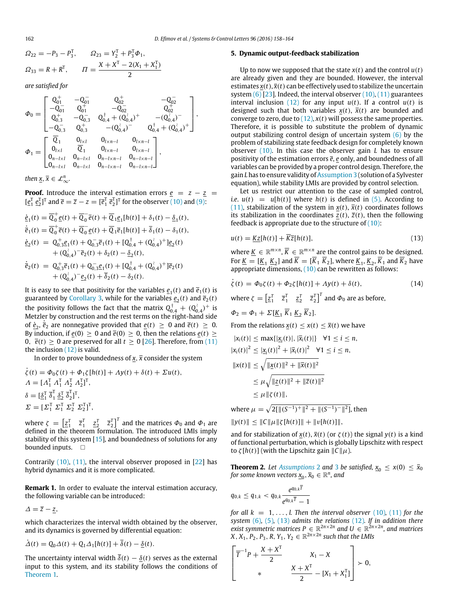,

$$
\Omega_{22} = -P_3 - P_3^{\mathrm{T}}, \qquad \Omega_{23} = Y_2^{\mathrm{T}} + P_3^{\mathrm{T}} \Phi_1,
$$
  

$$
\Omega_{33} = R + R^{\mathrm{T}}, \qquad \Pi = \frac{X + X^{\mathrm{T}} - 2(X_1 + X_1^{\mathrm{T}})}{2}
$$

*are satisfied for*

$$
\Phi_0=\begin{bmatrix}Q_{01}^+&-Q_{01}^-&Q_{02}^+&-Q_{02}^-\\-Q_{01}^-&Q_{01}^+&-Q_{02}^-&Q_{02}^+\\Q_{0,3}^+&-Q_{0,3}^-&Q_{0,4}^++(Q_{0,4}^{\lambda})^+&-(Q_{0,4}^{\lambda})^-\\-Q_{0,3}^-&Q_{0,3}^+&-(Q_{0,4}^{\lambda})^-&Q_{0,4}^++(Q_{0,4}^{\lambda})^+ \end{bmatrix}\\ \Phi_1=\begin{bmatrix} \overline{Q}_1&0_{l\times l}&0_{l\times n-l}&0_{l\times n-l}\\0_{l\times l}&\overline{Q}_1&0_{l\times n-l}&0_{l\times n-l}\\0_{n-l\times l}&0_{n-l\times n}^+&0_{n-l\times n-l}^+&0_{n-l\times n-l} \\0_{n-l\times l}&0_{n-l\times l}&0_{n-l\times n-l}&0_{n-l\times n-l} \end{bmatrix},
$$

 $T$ .

*then*  $\underline{x}, \overline{x} \in \mathcal{L}_{\infty}^n$ .

**Proof.** Introduce the interval estimation errors  $e = z - \overline{z} =$  $[e_1^T \, e_2^T]^T$  and  $\bar{e} = \bar{z} - z = [\bar{e}_1^T \, \bar{e}_2^T]^T$  for the observer [\(10\)](#page-3-3) and [\(9\):](#page-3-1)

$$
\begin{split}\n\dot{\underline{e}}_{1}(t) &= \overline{Q}_{0}^{+}\underline{e}(t) + \overline{Q}_{0}^{-}\overline{e}(t) + \overline{Q}_{1}\underline{e}_{1}[h(t)] + \delta_{1}(t) - \underline{\delta}_{1}(t), \\
\dot{\overline{e}}_{1}(t) &= \overline{Q}_{0}^{+}\overline{e}(t) + \overline{Q}_{0}^{-}\underline{e}(t) + \overline{Q}_{1}\overline{e}_{1}[h(t)] + \overline{\delta}_{1}(t) - \delta_{1}(t), \\
\dot{\underline{e}}_{2}(t) &= Q_{0,3}^{+}\underline{e}_{1}(t) + Q_{0,3}^{-}\overline{e}_{1}(t) + [Q_{0,4}^{+} + (Q_{0,4}^{+})^{+}] \underline{e}_{2}(t) \\
&\quad + (Q_{0,4}^{+})^{-}\overline{e}_{2}(t) + \delta_{2}(t) - \underline{\delta}_{2}(t), \\
\dot{\overline{e}}_{2}(t) &= Q_{0,3}^{+}\overline{e}_{1}(t) + Q_{0,3}^{-}\underline{e}_{1}(t) + [Q_{0,4}^{+} + (Q_{0,4}^{+})^{+}] \overline{e}_{2}(t) \\
&\quad + (Q_{0,4}^{+})^{-}\underline{e}_{2}(t) + \overline{\delta}_{2}(t) - \delta_{2}(t).\n\end{split}
$$

It is easy to see that positivity for the variables  $\underline{e}_1(t)$  and  $\overline{e}_1(t)$  is guaranteed by [Corollary 3,](#page-2-8) while for the variables  $\underline{e}_2(t)$  and  $\overline{e}_2(t)$ the positivity follows the fact that the matrix  $Q_{0,4}^{\dagger} + (Q_0^{\dagger})$  $\int_{0,4}^{1}$ )<sup>+</sup> is Metzler by construction and the rest terms on the right-hand side of  $\underline{\dot{e}}_2$ ,  $\dot{\overline{e}}_2$  are nonnegative provided that  $\underline{e}(t) \geq 0$  and  $\overline{e}(t) \geq 0$ . By induction, if  $\frac{e(0)}{2} \geq 0$  and  $\frac{e(0)}{2} \geq 0$ , then the relations  $e(t) \geq 0$ 0,  $\bar{e}(t) > 0$  are preserved for all  $t > 0$  [\[26\]](#page-6-17). Therefore, from [\(11\)](#page-3-4) the inclusion [\(12\)](#page-3-5) is valid.

In order to prove boundedness of  $x$ ,  $\bar{x}$  consider the system

$$
\dot{\zeta}(t) = \Phi_0 \zeta(t) + \Phi_1 \zeta [h(t)] + \Lambda y(t) + \delta(t) + \Sigma u(t),
$$
  
\n
$$
\Lambda = [\Lambda_1^T \Lambda_1^T \Lambda_2^T \Lambda_2^T]^T,
$$
  
\n
$$
\delta = [\underline{\delta}_1^T \overline{\delta}_1^T \underline{\delta}_2^T \overline{\delta}_2^T]^T,
$$
  
\n
$$
\Sigma = [\Sigma_1^T \Sigma_1^T \Sigma_2^T \Sigma_2^T]^T,
$$

where  $\zeta = \begin{bmatrix} z_1^T & \bar{z}_1^T & z_2^T & \bar{z}_2^T \end{bmatrix}^T$  and the matrices  $\Phi_0$  and  $\Phi_1$  are defined in the theorem formulation. The introduced LMIs imply stability of this system [\[15\]](#page-6-14), and boundedness of solutions for any bounded inputs.  $\Box$ 

Contrarily  $(10)$ ,  $(11)$ , the interval observer proposed in  $[22]$  has hybrid dynamics and it is more complicated.

**Remark 1.** In order to evaluate the interval estimation accuracy, the following variable can be introduced:

 $\Delta = \overline{z} - z$ ,

which characterizes the interval width obtained by the observer, and its dynamics is governed by differential equation:

$$
\dot{\Delta}(t) = Q_0 \Delta(t) + Q_1 \Delta_1[h(t)] + \overline{\delta}(t) - \underline{\delta}(t).
$$

The uncertainty interval width  $\overline{\delta}(t) - \delta(t)$  serves as the external input to this system, and its stability follows the conditions of [Theorem 1.](#page-3-6)

#### <span id="page-4-0"></span>**5. Dynamic output-feedback stabilization**

Up to now we supposed that the state  $x(t)$  and the control  $u(t)$ are already given and they are bounded. However, the interval estimates  $x(t)$ ,  $\bar{x}(t)$  can be effectively used to stabilize the uncertain system  $(6)$  [\[23\]](#page-6-10). Indeed, the interval observer  $(10)$ ,  $(11)$  guarantees interval inclusion [\(12\)](#page-3-5) for any input  $u(t)$ . If a control  $u(t)$  is designed such that both variables  $x(t)$ ,  $\overline{x}(t)$  are bounded and converge to zero, due to  $(12)$ ,  $x(t)$  will possess the same properties. Therefore, it is possible to substitute the problem of dynamic output stabilizing control design of uncertain system [\(6\)](#page-2-3) by the problem of stabilizing state feedback design for completely known observer [\(10\).](#page-3-3) In this case the observer gain *L* has to ensure positivity of the estimation errors *e*, *e* only, and boundedness of all variables can be provided by a proper control design. Therefore, the gain *L* has to ensure validity of [Assumption 3](#page-3-2) (solution of a Sylvester equation), while stability LMIs are provided by control selection.

Let us restrict our attention to the case of sampled control, *i.e.*  $u(t) = u[h(t)]$  where  $h(t)$  is defined in [\(5\).](#page-1-5) According to [\(11\),](#page-3-4) stabilization of the system in  $x(t)$ ,  $\overline{x}(t)$  coordinates follows its stabilization in the coordinates  $z(t)$ ,  $\overline{z}(t)$ , then the following feedback is appropriate due to the structure of  $(10)$ :

$$
u(t) = \underline{Kz}[h(t)] + \overline{K}\overline{z}[h(t)],\tag{13}
$$

<span id="page-4-1"></span>where  $\underline{K} \in \mathbb{R}^{m \times n}$ ,  $\overline{K} \in \mathbb{R}^{m \times n}$  are the control gains to be designed. For <u>K</u> = [<u>K<sub>1</sub> K<sub>2</sub></u>] and  $\overline{K}$  = [ $\overline{K}_1$   $\overline{K}_2$ ], where <u>K<sub>1</sub>, K<sub>2</sub>,  $\overline{K}_1$  and  $\overline{K}_2$  have</u> appropriate dimensions, [\(10\)](#page-3-3) can be rewritten as follows:

$$
\dot{\zeta}(t) = \Phi_0 \zeta(t) + \Phi_2 \zeta[h(t)] + \Lambda y(t) + \delta(t), \qquad (14)
$$

<span id="page-4-2"></span>where  $\zeta = \begin{bmatrix} z_1^T & \overline{z}_1^T & z_2^T & \overline{z}_2^T \end{bmatrix}^T$  and  $\Phi_0$  are as before,

$$
\Phi_2 = \Phi_1 + \Sigma [\underline{K}_1 \ \overline{K}_1 \ \underline{K}_2 \ \overline{K}_2].
$$

From the relations  $x(t) \leq x(t) \leq \overline{x}(t)$  we have

$$
|x_i(t)| \le \max\{|x_i(t)|, |\bar{x}_i(t)|\} \quad \forall 1 \le i \le n, |x_i(t)|^2 \le |x_i(t)|^2 + |\bar{x}_i(t)|^2 \quad \forall 1 \le i \le n, ||x(t)|| \le \sqrt{||\underline{x}(t)||^2 + ||\bar{x}(t)||^2} \le \mu \sqrt{||\underline{z}(t)||^2 + ||\bar{z}(t)||^2} \le \mu ||\zeta(t)||,
$$

where  $\mu = \sqrt{2[\|(S^{-1})^+\|^2 + \|(S^{-1})^-\|^2]}$ , then ∥*y*(*t*)∥ ≤ ∥*C*∥µ∥ζ [*h*(*t*)]∥ + ∥v[*h*(*t*)]∥,

and for stabilization of  $x(t)$ ,  $\overline{x}(t)$  (or  $\zeta(t)$ ) the signal  $y(t)$  is a kind of functional perturbation, which is globally Lipschitz with respect to *ζ* [*h*(*t*)] (with the Lipschitz gain  $\Vert$  *C*  $\Vert$  *μ*).

<span id="page-4-3"></span>**Theorem 2.** Let *[Assumptions](#page-2-7)* 2 and [3](#page-3-2) be satisfied,  $x_0 \le x(0) \le \bar{x}_0$ for some known vectors  $\underline{x}_0, \overline{x}_0 \in \mathbb{R}^n$ , and

$$
q_{0,k} \leq q_{1,k} < q_{0,k} \frac{e^{q_{0,k} \overline{T}}}{e^{q_{0,k} \overline{T}} - 1}
$$

*for all*  $k = 1, \ldots, l$ *. Then the interval observer* [\(10\)](#page-3-3)*,* [\(11\)](#page-3-4) *for the system* [\(6\)](#page-2-3)*,* [\(5\)](#page-1-5)*,* [\(13\)](#page-4-1) *admits the relations* [\(12\)](#page-3-5)*. If in addition there exist symmetric matrices*  $P \in \mathbb{R}^{2n \times 2n}$  and  $U \in \mathbb{R}^{2n \times 2n}$ , and matrices  $X, X_1, P_2, P_3, R, Y_1, Y_2 \in \mathbb{R}^{2n \times 2n}$  such that the LMIs

$$
\begin{bmatrix} \overline{T}^{-1}P + \frac{X + X^{T}}{2} & X_{1} - X \\ * & \frac{X + X^{T}}{2} - [X_{1} + X_{1}^{T}] \end{bmatrix} \succ 0,
$$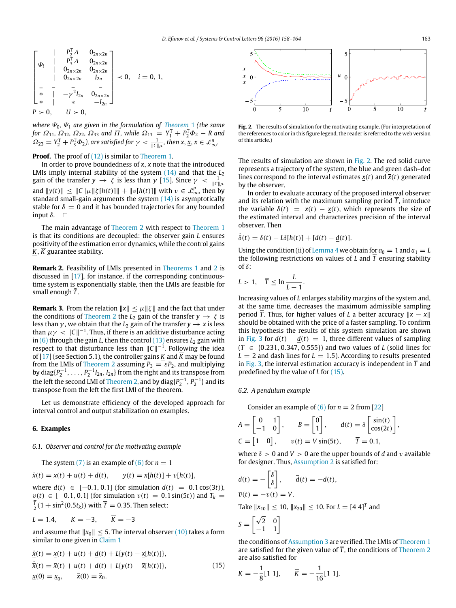$$
\begin{bmatrix}\n & P_1^T A & O_{2n \times 2n} \\
 & P_3^T A & O_{2n \times 2n} \\
 & O_{2n \times 2n} & O_{2n \times 2n} \\
 & O_{2n \times 2n} & I_{2n} \\
 & & \ddots & \ddots & \ddots \\
 & & & -\gamma^2 I_{2n} & O_{2n \times 2n} \\
 & & & \ddots & \ddots & \ddots \\
 & & & & -I_{2n}\n\end{bmatrix} \prec 0, \quad i = 0, 1,
$$
\n
$$
P > 0, \quad U > 0,
$$

*where* Ψ0*,* Ψ<sup>1</sup> *are given in the formulation of [Theorem](#page-3-6)* 1 *(the same for*  $\Omega_{11}$ ,  $\Omega_{12}$ ,  $\Omega_{22}$ ,  $\Omega_{33}$  and  $\Pi$ , while  $\Omega_{13} = Y_1^{\text{T}} + P_2^{\text{T}} \Phi_2 - R$  and  $\Omega_{23} = Y_2^{\text{T}} + P_3^{\text{T}} \Phi_2$ ), are satisfied for  $\gamma < \frac{1}{\|\mathcal{C}\| \mu}$ , then  $\mathsf{x}, \mathsf{x}, \overline{\mathsf{x}} \in \mathcal{L}_{\infty}^n$ .

**Proof.** The proof of [\(12\)](#page-3-5) is similar to [Theorem 1.](#page-3-6)

In order to prove boundedness of  $x$ ,  $\bar{x}$  note that the introduced LMIs imply internal stability of the system [\(14\)](#page-4-2) and that the  $L_2$ gain of the transfer  $y \to \zeta$  is less than  $\gamma$  [\[15\]](#page-6-14). Since  $\gamma < \frac{1}{\|C\| \mu}$ and  $||y(t)|| \le ||C||\mu||\zeta[h(t)]|| + ||v[h(t)]||$  with  $v \in \mathcal{L}_{\infty}^p$ , then by standard small-gain arguments the system [\(14\)](#page-4-2) is asymptotically stable for  $\delta = 0$  and it has bounded trajectories for any bounded input  $\delta$ .  $\Box$ 

The main advantage of [Theorem 2](#page-4-3) with respect to [Theorem 1](#page-3-6) is that its conditions are decoupled: the observer gain *L* ensures positivity of the estimation error dynamics, while the control gains *K*, *K* guarantee stability.

**Remark 2.** Feasibility of LMIs presented in [Theorems 1](#page-3-6) and [2](#page-4-3) is discussed in [\[17\]](#page-6-12), for instance, if the corresponding continuoustime system is exponentially stable, then the LMIs are feasible for small enough  $\bar{T}$ .

**Remark 3.** From the relation  $||x|| \le \mu ||\zeta||$  and the fact that under the conditions of [Theorem 2](#page-4-3) the  $L_2$  gain of the transfer  $y \to \zeta$  is less than  $\gamma$ , we obtain that the  $L_2$  gain of the transfer  $y \rightarrow x$  is less than  $\mu\gamma<\Vert C\Vert^{-1}$ . Thus, if there is an additive disturbance acting in [\(6\)](#page-2-3) through the gain *L*, then the control [\(13\)](#page-4-1) ensures *L*<sub>2</sub> gain with respect to that disturbance less than  $||C||^{-1}$ . Following the idea of  $[17]$  (see Section 5.1), the controller gains *K* and  $\overline{K}$  may be found from the LMIs of [Theorem 2](#page-4-3) assuming  $P_3 = \varepsilon P_2$ , and multiplying by diag $\{P_2^{-1}, \ldots, P_2^{-1}I_{2n}, I_{2n}\}$  from the right and its transpose from the left the second LMI of [Theorem 2,](#page-4-3) and by  $\operatorname{diag}\{P_2^{-1},P_2^{-1}\}$  and its transpose from the left the first LMI of the theorem.

Let us demonstrate efficiency of the developed approach for interval control and output stabilization on examples.

## <span id="page-5-0"></span>**6. Examples**

#### *6.1. Observer and control for the motivating example*

The system  $(7)$  is an example of  $(6)$  for  $n = 1$ 

$$
\dot{x}(t) = x(t) + u(t) + d(t), \qquad y(t) = x[h(t)] + v[h(t)],
$$

where *d*(*t*) ∈ [-0.1, 0.1] (for simulation *d*(*t*) = 0.1 cos(3*t*)),  $v(t)$  ∈ [-0.1, 0.1] (for simulation  $v(t)$  = 0.1 sin(5*t*)) and  $T_k$  =  $\frac{T}{2}(1 + \sin^2(0.5t_k))$  with  $\overline{T} = 0.35$ . Then select:

$$
L = 1.4, \qquad \underline{K} = -3, \qquad \overline{K} = -3
$$

and assume that  $||x_0|| \leq 5$ . The interval observer [\(10\)](#page-3-3) takes a form similar to one given in [Claim 1](#page-3-0)

$$
\begin{aligned}\n\dot{\underline{x}}(t) &= \underline{x}(t) + u(t) + \underline{d}(t) + L\{y(t) - \underline{x}[h(t)]\}, \\
\dot{\overline{x}}(t) &= \overline{x}(t) + u(t) + \overline{d}(t) + L\{y(t) - \overline{x}[h(t)]\}, \\
\underline{x}(0) &= \underline{x}_0, \qquad \overline{x}(0) = \overline{x}_0.\n\end{aligned} \tag{15}
$$

<span id="page-5-1"></span>

**Fig. 2.** The results of simulation for the motivating example. (For interpretation of the references to color in this figure legend, the reader is referred to the web version of this article.)

The results of simulation are shown in [Fig. 2.](#page-5-1) The red solid curve represents a trajectory of the system, the blue and green dash–dot lines correspond to the interval estimates  $x(t)$  and  $\overline{x}(t)$  generated by the observer.

In order to evaluate accuracy of the proposed interval observer and its relation with the maximum sampling period  $\overline{T}$ , introduce the variable  $\delta(t) = \overline{x}(t) - x(t)$ , which represents the size of the estimated interval and characterizes precision of the interval observer. Then

$$
\dot{\delta}(t) = \delta(t) - L\delta[h(t)] + [\overline{d}(t) - \underline{d}(t)].
$$

Using the condition (ii) of [Lemma 4](#page-2-1) we obtain for  $a_0 = 1$  and  $a_1 = L$ the following restrictions on values of *L* and  $\overline{T}$  ensuring stability  $\int f \delta$ 

$$
L>1, \quad \overline{T}\leq \ln\frac{L}{L-1}.
$$

Increasing values of *L* enlarges stability margins of the system and, at the same time, decreases the maximum admissible sampling period  $\overline{T}$ . Thus, for higher values of *L* a better accuracy  $\|\overline{x} - x\|$ should be obtained with the price of a faster sampling. To confirm this hypothesis the results of this system simulation are shown in [Fig. 3](#page-6-18) for  $d(t) - \underline{d}(t) = 1$ , three different values of sampling  $({\overline{T}}$  ∈ {0.231, 0.347, 0.555}) and two values of *L* (solid lines for  $L = 2$  and dash lines for  $L = 1.5$ ). According to results presented in [Fig. 3,](#page-6-18) the interval estimation accuracy is independent in *T* and predefined by the value of *L* for [\(15\).](#page-5-2)

## *6.2. A pendulum example*

Consider an example of  $(6)$  for  $n = 2$  from [\[22\]](#page-6-9)

$$
A = \begin{bmatrix} 0 & 1 \\ -1 & 0 \end{bmatrix}, \qquad B = \begin{bmatrix} 0 \\ 1 \end{bmatrix}, \qquad d(t) = \delta \begin{bmatrix} \sin(t) \\ \cos(2t) \end{bmatrix},
$$
  

$$
C = \begin{bmatrix} 1 & 0 \end{bmatrix}, \qquad v(t) = V \sin(5t), \qquad \overline{T} = 0.1,
$$

where  $\delta > 0$  and  $V > 0$  are the upper bounds of d and v available for designer. Thus, [Assumption 2](#page-2-7) is satisfied for:

$$
\underline{d}(t) = -\begin{bmatrix} \delta \\ \delta \end{bmatrix}, \quad \overline{d}(t) = -\underline{d}(t),
$$

$$
\overline{v}(t) = -v(t) = V.
$$

Take  $||x_{10}|| \le 10$ ,  $||x_{20}|| \le 10$ . For  $L = [4 \ 4]^T$  and

$$
S = \begin{bmatrix} \sqrt{2} & 0 \\ -1 & 1 \end{bmatrix}
$$

<span id="page-5-2"></span>the conditions of [Assumption 3](#page-3-2) are verified. The LMIs of [Theorem 1](#page-3-6) are satisfied for the given value of  $\overline{T}$ , the conditions of [Theorem 2](#page-4-3) are also satisfied for

$$
\underline{K} = -\frac{1}{8}[1\ 1], \qquad \overline{K} = -\frac{1}{16}[1\ 1].
$$